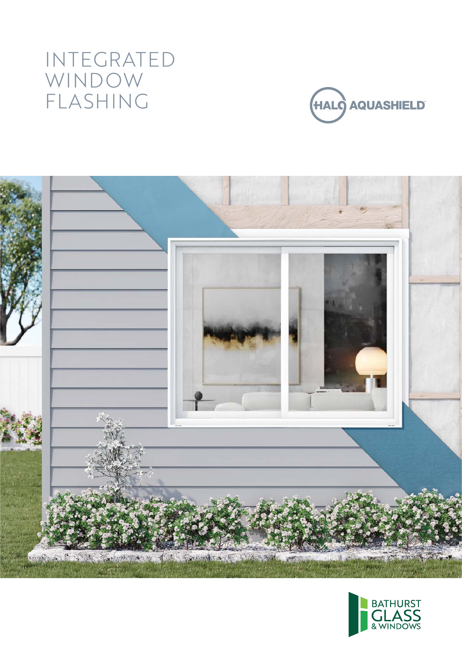# INTEGRATED WINDOW FLASHING





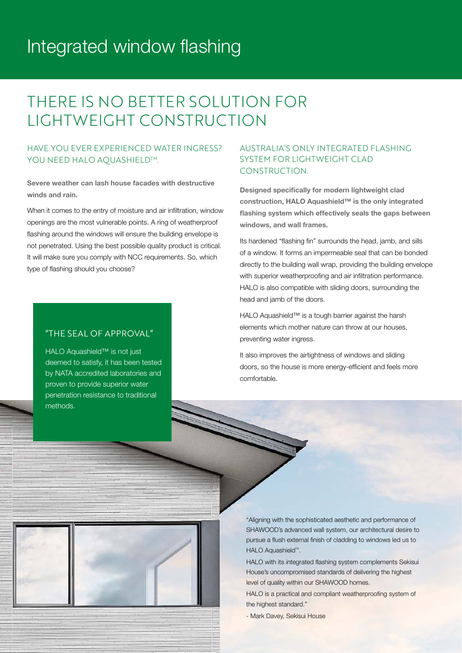### Integrated window flashing

### THERE IS NO BETTER SOLUTION FOR LIGHTWEIGHT CONSTRUCTION

#### HAVE YOU EVER EXPERIENCED WATER INGRESS? YOU NEED HALO AOUASHIELD<sup>TM</sup>.

Severe weather can lash house facades with destructive winds and rain.

When it comes to the entry of moisture and air infiltration, window openings are the most vulnerable points. A ring of weatherproof flashing around the windows will ensure the building envelope is not penetrated. Using the best possible quality product is critical. It will make sure you comply with NCC requirements. So, which type of flashing should you choose?

#### "THE SEAL OF APPROVAL"

HALO Aquashield™ is not just deemed to satisfy, it has been tested by NATA accredited laboratories and proven to provide superior water penetration resistance to traditional methods.

#### AUSTRALIA'S ONLY INTEGRATED FLASHING SYSTEM FOR LIGHTWEIGHT CLAD CONSTRUCTION.

Designed specifically for modern lightweight clad construction, HALO Aquashield™ is the only integrated flashing system which effectively seals the gaps between windows, and wall frames.

Its hardened "flashing fin" surrounds the head, jamb, and sills of a window. It forms an impermeable seal that can be bonded directly to the building wall wrap, providing the building envelope with superior weatherproofing and air infiltration performance. HALO is also compatible with sliding doors, surrounding the head and jamb of the doors.

HALO Aquashield™ is a tough barrier against the harsh elements which mother nature can throw at our houses, preventing water ingress.

It also improves the airtightness of windows and sliding doors, so the house is more energy-efficient and feels more comfortable.



"Aligning with the sophisticated aesthetic and performance of SHAWOOD's advanced wall system, our architectural desire to pursue a flush external finish of cladding to windows led us to HALO Aquashield<sup>™</sup>.

HALO with its integrated flashing system complements Sekisui House's uncompromised standards of delivering the highest level of quality within our SHAWOOD homes.

HALO is a practical and compliant weatherproofing system of the highest standard."

- Mark Davey, Sekisui House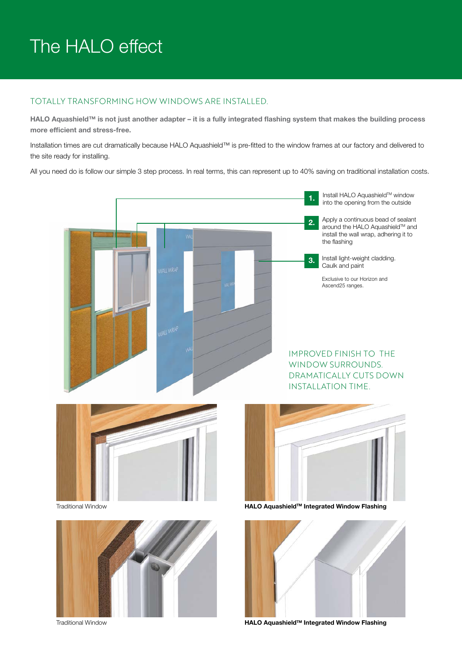# The HALO effect

#### TOTALLY TRANSFORMING HOW WINDOWS ARE INSTALLED.

HALO Aquashield™ is not just another adapter – it is a fully integrated flashing system that makes the building process more efficient and stress-free.

Installation times are cut dramatically because HALO Aquashield™ is pre-fitted to the window frames at our factory and delivered to the site ready for installing.

All you need do is follow our simple 3 step process. In real terms, this can represent up to 40% saving on traditional installation costs.